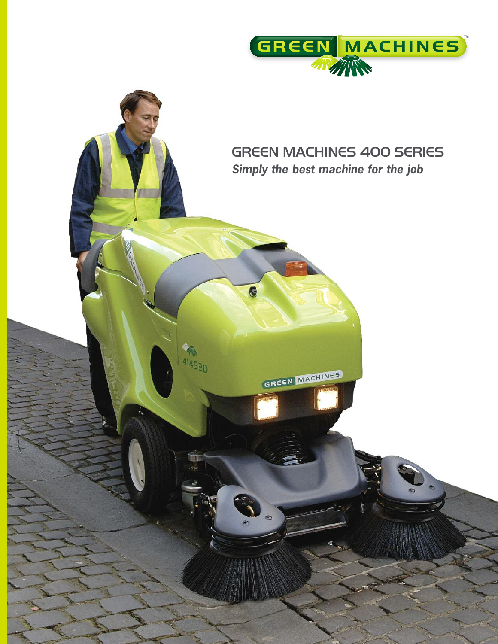

# GREEN MACHINES 400 SERIES *Simply the best machine for the job*

GREEN MACHINES

 $\tilde{\mathbf{A}}$ 

G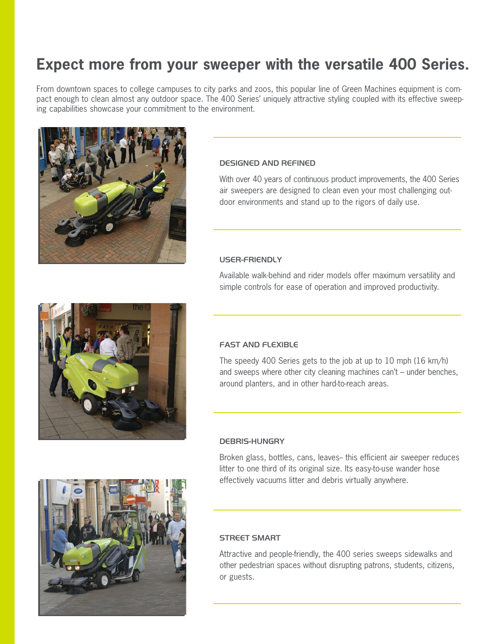# **Expect more from your sweeper with the versatile 400 Series.**

From downtown spaces to college campuses to city parks and zoos, this popular line of Green Machines equipment is compact enough to clean almost any outdoor space. The 400 Series' uniquely attractive styling coupled with its effective sweeping capabilities showcase your commitment to the environment.



## DESIGNED AND REFINED

With over 40 years of continuous product improvements, the 400 Series air sweepers are designed to clean even your most challenging outdoor environments and stand up to the rigors of daily use.

## USER-FRIENDLY

Available walk-behind and rider models offer maximum versatility and simple controls for ease of operation and improved productivity.



## FAST AND FLEXIBLE

The speedy 400 Series gets to the job at up to 10 mph (16 km/h) and sweeps where other city cleaning machines can't – under benches, around planters, and in other hard-to-reach areas.

## DEBRIS-HUNGRY

Broken glass, bottles, cans, leaves-this efficient air sweeper reduces litter to one third of its original size. Its easy-to-use wander hose effectively vacuums litter and debris virtually anywhere.

## STREET SMART

Attractive and people-friendly, the 400 series sweeps sidewalks and other pedestrian spaces without disrupting patrons, students, citizens, or guests.

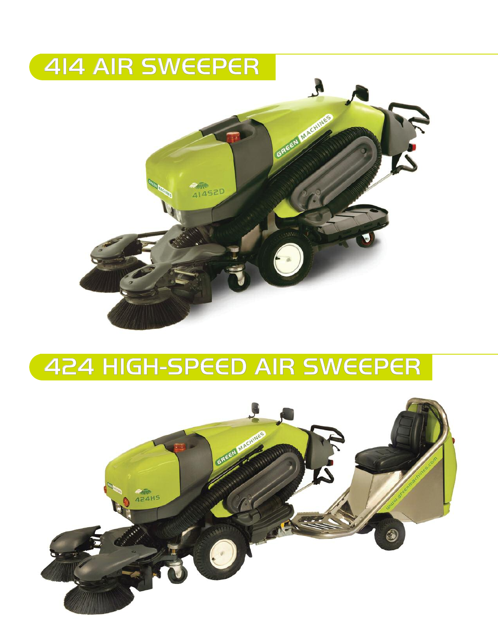

# HIGH-SPEED AIR SWEEPER

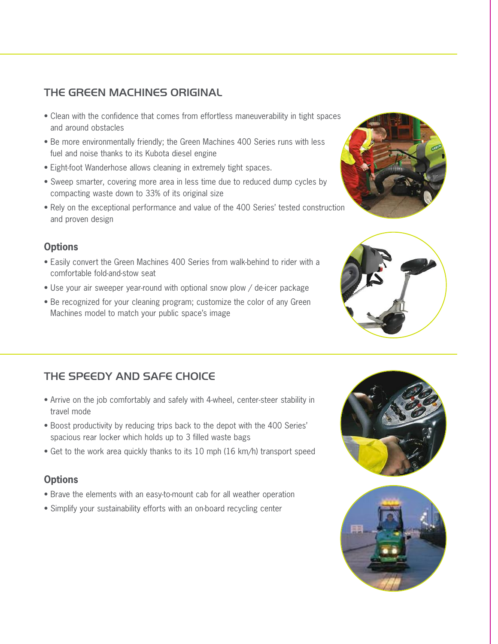# THE GREEN MACHINES ORIGINAL

- Clean with the confidence that comes from effortless maneuverability in tight spaces and around obstacles
- Be more environmentally friendly; the Green Machines 400 Series runs with less fuel and noise thanks to its Kubota diesel engine
- Eight-foot Wanderhose allows cleaning in extremely tight spaces.
- Sweep smarter, covering more area in less time due to reduced dump cycles by compacting waste down to 33% of its original size
- Rely on the exceptional performance and value of the 400 Series' tested construction and proven design

## **Options**

- Easily convert the Green Machines 400 Series from walk-behind to rider with a comfortable fold-and-stow seat
- Use your air sweeper year-round with optional snow plow / de-icer package
- Be recognized for your cleaning program; customize the color of any Green Machines model to match your public space's image

# THE SPEEDY AND SAFE CHOICE

- Arrive on the job comfortably and safely with 4-wheel, center-steer stability in travel mode
- Boost productivity by reducing trips back to the depot with the 400 Series' spacious rear locker which holds up to 3 filled waste bags
- Get to the work area quickly thanks to its 10 mph (16 km/h) transport speed

## **Options**

- Brave the elements with an easy-to-mount cab for all weather operation
- Simplify your sustainability efforts with an on-board recycling center







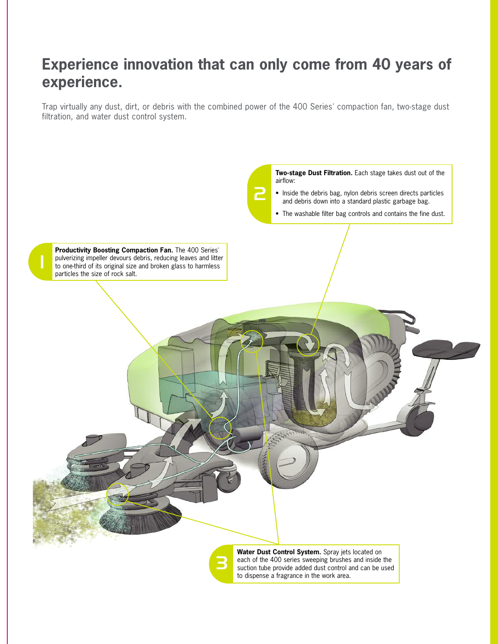# **Experience innovation that can only come from 40 years of experience.**

Trap virtually any dust, dirt, or debris with the combined power of the 400 Series' compaction fan, two-stage dust filtration, and water dust control system.